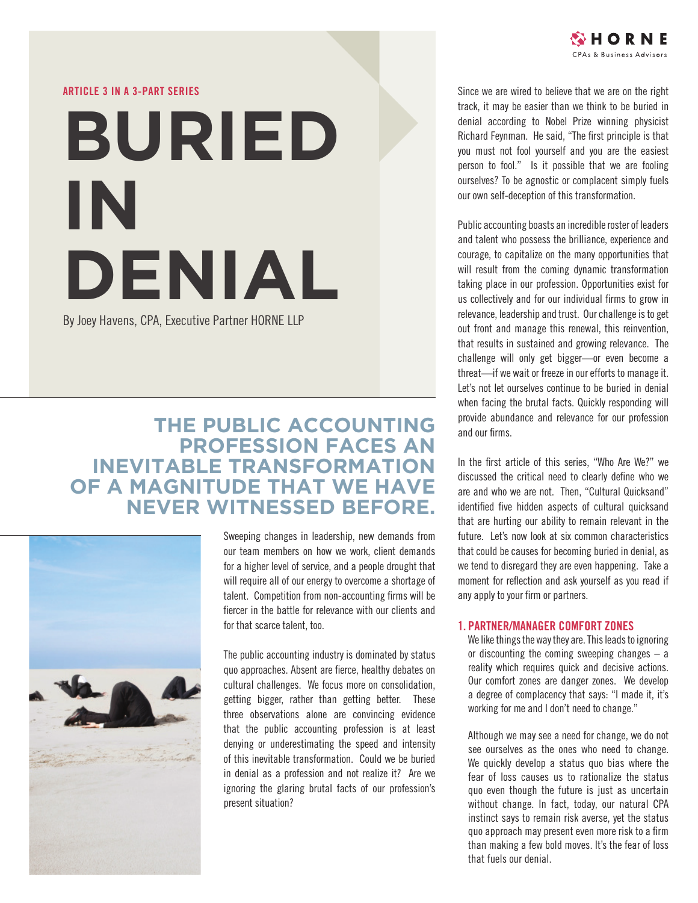

**ARTICLE 3 IN A 3-PART SERIES**

# **BURIED IN DENIAL**

By Joey Havens, CPA, Executive Partner HORNE LLP

## **THE PUBLIC ACCOUNTING PROFESSION FACES AN INEVITABLE TRANSFORMATION OF A MAGNITUDE THAT WE HAVE NEVER WITNESSED BEFORE.**



Sweeping changes in leadership, new demands from our team members on how we work, client demands for a higher level of service, and a people drought that will require all of our energy to overcome a shortage of talent. Competition from non-accounting firms will be fiercer in the battle for relevance with our clients and for that scarce talent, too.

The public accounting industry is dominated by status quo approaches. Absent are fierce, healthy debates on cultural challenges. We focus more on consolidation, getting bigger, rather than getting better. These three observations alone are convincing evidence that the public accounting profession is at least denying or underestimating the speed and intensity of this inevitable transformation. Could we be buried in denial as a profession and not realize it? Are we ignoring the glaring brutal facts of our profession's present situation?

Since we are wired to believe that we are on the right track, it may be easier than we think to be buried in denial according to Nobel Prize winning physicist Richard Feynman. He said, "The first principle is that you must not fool yourself and you are the easiest person to fool." Is it possible that we are fooling ourselves? To be agnostic or complacent simply fuels our own self-deception of this transformation.

Public accounting boasts an incredible roster of leaders and talent who possess the brilliance, experience and courage, to capitalize on the many opportunities that will result from the coming dynamic transformation taking place in our profession. Opportunities exist for us collectively and for our individual firms to grow in relevance, leadership and trust. Our challenge is to get out front and manage this renewal, this reinvention, that results in sustained and growing relevance. The challenge will only get bigger—or even become a threat—if we wait or freeze in our efforts to manage it. Let's not let ourselves continue to be buried in denial when facing the brutal facts. Quickly responding will provide abundance and relevance for our profession and our firms.

In the first article of this series, "Who Are We?" we discussed the critical need to clearly define who we are and who we are not. Then, "Cultural Quicksand" identified five hidden aspects of cultural quicksand that are hurting our ability to remain relevant in the future. Let's now look at six common characteristics that could be causes for becoming buried in denial, as we tend to disregard they are even happening. Take a moment for reflection and ask yourself as you read if any apply to your firm or partners.

#### **1. PARTNER/MANAGER COMFORT ZONES**

We like things the way they are. This leads to ignoring or discounting the coming sweeping changes  $-$  a reality which requires quick and decisive actions. Our comfort zones are danger zones. We develop a degree of complacency that says: "I made it, it's working for me and I don't need to change."

Although we may see a need for change, we do not see ourselves as the ones who need to change. We quickly develop a status quo bias where the fear of loss causes us to rationalize the status quo even though the future is just as uncertain without change. In fact, today, our natural CPA instinct says to remain risk averse, yet the status quo approach may present even more risk to a firm than making a few bold moves. It's the fear of loss that fuels our denial.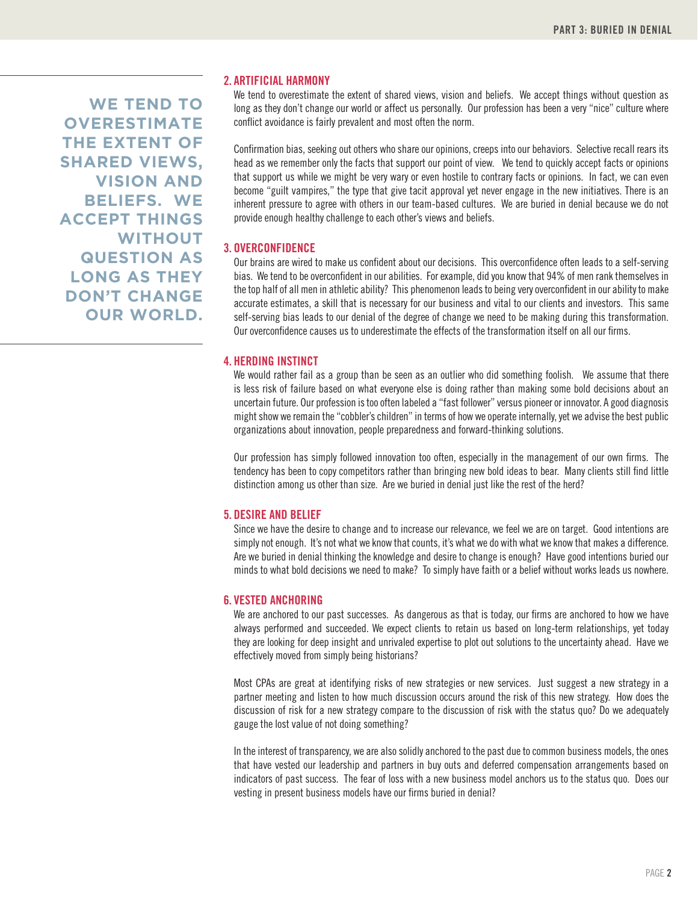**WE TEND TO OVERESTIMATE THE EXTENT OF SHARED VIEWS, VISION AND BELIEFS. WE ACCEPT THINGS WITHOUT QUESTION AS LONG AS THEY DON'T CHANGE OUR WORLD.**

#### **2. ARTIFICIAL HARMONY**

We tend to overestimate the extent of shared views, vision and beliefs. We accept things without question as long as they don't change our world or affect us personally. Our profession has been a very "nice" culture where conflict avoidance is fairly prevalent and most often the norm.

Confirmation bias, seeking out others who share our opinions, creeps into our behaviors. Selective recall rears its head as we remember only the facts that support our point of view. We tend to quickly accept facts or opinions that support us while we might be very wary or even hostile to contrary facts or opinions. In fact, we can even become "guilt vampires," the type that give tacit approval yet never engage in the new initiatives. There is an inherent pressure to agree with others in our team-based cultures. We are buried in denial because we do not provide enough healthy challenge to each other's views and beliefs.

#### **3. OVERCONFIDENCE**

Our brains are wired to make us confident about our decisions. This overconfidence often leads to a self-serving bias. We tend to be overconfident in our abilities. For example, did you know that 94% of men rank themselves in the top half of all men in athletic ability? This phenomenon leads to being very overconfident in our ability to make accurate estimates, a skill that is necessary for our business and vital to our clients and investors. This same self-serving bias leads to our denial of the degree of change we need to be making during this transformation. Our overconfidence causes us to underestimate the effects of the transformation itself on all our firms.

#### **4. HERDING INSTINCT**

We would rather fail as a group than be seen as an outlier who did something foolish. We assume that there is less risk of failure based on what everyone else is doing rather than making some bold decisions about an uncertain future. Our profession is too often labeled a "fast follower" versus pioneer or innovator. A good diagnosis might show we remain the "cobbler's children" in terms of how we operate internally, yet we advise the best public organizations about innovation, people preparedness and forward-thinking solutions.

Our profession has simply followed innovation too often, especially in the management of our own firms. The tendency has been to copy competitors rather than bringing new bold ideas to bear. Many clients still find little distinction among us other than size. Are we buried in denial just like the rest of the herd?

#### **5. DESIRE AND BELIEF**

Since we have the desire to change and to increase our relevance, we feel we are on target. Good intentions are simply not enough. It's not what we know that counts, it's what we do with what we know that makes a difference. Are we buried in denial thinking the knowledge and desire to change is enough? Have good intentions buried our minds to what bold decisions we need to make? To simply have faith or a belief without works leads us nowhere.

#### **6. VESTED ANCHORING**

We are anchored to our past successes. As dangerous as that is today, our firms are anchored to how we have always performed and succeeded. We expect clients to retain us based on long-term relationships, yet today they are looking for deep insight and unrivaled expertise to plot out solutions to the uncertainty ahead. Have we effectively moved from simply being historians?

Most CPAs are great at identifying risks of new strategies or new services. Just suggest a new strategy in a partner meeting and listen to how much discussion occurs around the risk of this new strategy. How does the discussion of risk for a new strategy compare to the discussion of risk with the status quo? Do we adequately gauge the lost value of not doing something?

In the interest of transparency, we are also solidly anchored to the past due to common business models, the ones that have vested our leadership and partners in buy outs and deferred compensation arrangements based on indicators of past success. The fear of loss with a new business model anchors us to the status quo. Does our vesting in present business models have our firms buried in denial?